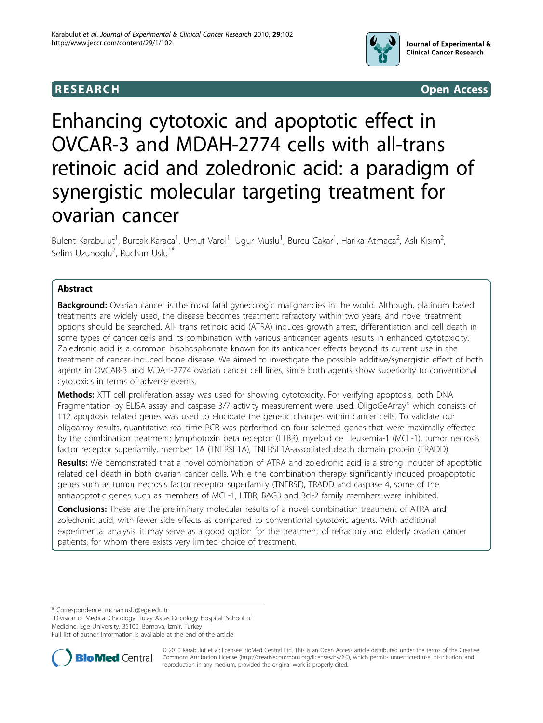

**RESEARCH CONSTRUCTION CONTROL** 

# Enhancing cytotoxic and apoptotic effect in OVCAR-3 and MDAH-2774 cells with all-trans retinoic acid and zoledronic acid: a paradigm of synergistic molecular targeting treatment for ovarian cancer

Bulent Karabulut<sup>1</sup>, Burcak Karaca<sup>1</sup>, Umut Varol<sup>1</sup>, Ugur Muslu<sup>1</sup>, Burcu Cakar<sup>1</sup>, Harika Atmaca<sup>2</sup>, Aslı Kısım<sup>2</sup> , Selim Uzunoglu<sup>2</sup>, Ruchan Uslu<sup>1\*</sup>

# Abstract

**Background:** Ovarian cancer is the most fatal gynecologic malignancies in the world. Although, platinum based treatments are widely used, the disease becomes treatment refractory within two years, and novel treatment options should be searched. All- trans retinoic acid (ATRA) induces growth arrest, differentiation and cell death in some types of cancer cells and its combination with various anticancer agents results in enhanced cytotoxicity. Zoledronic acid is a common bisphosphonate known for its anticancer effects beyond its current use in the treatment of cancer-induced bone disease. We aimed to investigate the possible additive/synergistic effect of both agents in OVCAR-3 and MDAH-2774 ovarian cancer cell lines, since both agents show superiority to conventional cytotoxics in terms of adverse events.

Methods: XTT cell proliferation assay was used for showing cytotoxicity. For verifying apoptosis, both DNA Fragmentation by ELISA assay and caspase 3/7 activity measurement were used. OligoGeArray® which consists of 112 apoptosis related genes was used to elucidate the genetic changes within cancer cells. To validate our oligoarray results, quantitative real-time PCR was performed on four selected genes that were maximally effected by the combination treatment: lymphotoxin beta receptor (LTBR), myeloid cell leukemia-1 (MCL-1), tumor necrosis factor receptor superfamily, member 1A (TNFRSF1A), TNFRSF1A-associated death domain protein (TRADD).

Results: We demonstrated that a novel combination of ATRA and zoledronic acid is a strong inducer of apoptotic related cell death in both ovarian cancer cells. While the combination therapy significantly induced proapoptotic genes such as tumor necrosis factor receptor superfamily (TNFRSF), TRADD and caspase 4, some of the antiapoptotic genes such as members of MCL-1, LTBR, BAG3 and Bcl-2 family members were inhibited.

**Conclusions:** These are the preliminary molecular results of a novel combination treatment of ATRA and zoledronic acid, with fewer side effects as compared to conventional cytotoxic agents. With additional experimental analysis, it may serve as a good option for the treatment of refractory and elderly ovarian cancer patients, for whom there exists very limited choice of treatment.

\* Correspondence: [ruchan.uslu@ege.edu.tr](mailto:ruchan.uslu@ege.edu.tr)

<sup>1</sup> Division of Medical Oncology, Tulay Aktas Oncology Hospital, School of Medicine, Ege University, 35100, Bornova, Izmir, Turkey

Full list of author information is available at the end of the article



© 2010 Karabulut et al; licensee BioMed Central Ltd. This is an Open Access article distributed under the terms of the Creative Commons Attribution License [\(http://creativecommons.org/licenses/by/2.0](http://creativecommons.org/licenses/by/2.0)), which permits unrestricted use, distribution, and reproduction in any medium, provided the original work is properly cited.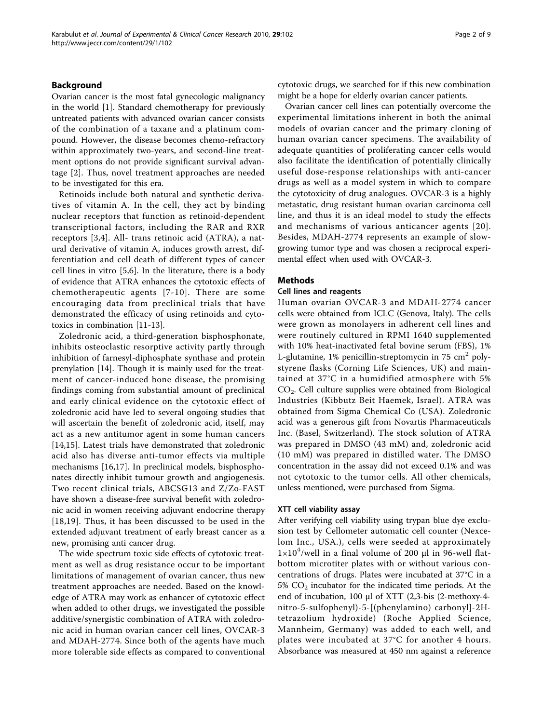## Background

Ovarian cancer is the most fatal gynecologic malignancy in the world [\[1](#page-7-0)]. Standard chemotherapy for previously untreated patients with advanced ovarian cancer consists of the combination of a taxane and a platinum compound. However, the disease becomes chemo-refractory within approximately two-years, and second-line treatment options do not provide significant survival advantage [[2\]](#page-7-0). Thus, novel treatment approaches are needed to be investigated for this era.

Retinoids include both natural and synthetic derivatives of vitamin A. In the cell, they act by binding nuclear receptors that function as retinoid-dependent transcriptional factors, including the RAR and RXR receptors [[3,4](#page-7-0)]. All- trans retinoic acid (ATRA), a natural derivative of vitamin A, induces growth arrest, differentiation and cell death of different types of cancer cell lines in vitro [\[5](#page-7-0),[6\]](#page-7-0). In the literature, there is a body of evidence that ATRA enhances the cytotoxic effects of chemotherapeutic agents [[7-10](#page-7-0)]. There are some encouraging data from preclinical trials that have demonstrated the efficacy of using retinoids and cytotoxics in combination [\[11](#page-7-0)-[13](#page-7-0)].

Zoledronic acid, a third-generation bisphosphonate, inhibits osteoclastic resorptive activity partly through inhibition of farnesyl-diphosphate synthase and protein prenylation [[14\]](#page-7-0). Though it is mainly used for the treatment of cancer-induced bone disease, the promising findings coming from substantial amount of preclinical and early clinical evidence on the cytotoxic effect of zoledronic acid have led to several ongoing studies that will ascertain the benefit of zoledronic acid, itself, may act as a new antitumor agent in some human cancers [[14,15](#page-7-0)]. Latest trials have demonstrated that zoledronic acid also has diverse anti-tumor effects via multiple mechanisms [[16](#page-7-0),[17\]](#page-7-0). In preclinical models, bisphosphonates directly inhibit tumour growth and angiogenesis. Two recent clinical trials, ABCSG13 and Z/Zo-FAST have shown a disease-free survival benefit with zoledronic acid in women receiving adjuvant endocrine therapy [[18](#page-7-0),[19](#page-7-0)]. Thus, it has been discussed to be used in the extended adjuvant treatment of early breast cancer as a new, promising anti cancer drug.

The wide spectrum toxic side effects of cytotoxic treatment as well as drug resistance occur to be important limitations of management of ovarian cancer, thus new treatment approaches are needed. Based on the knowledge of ATRA may work as enhancer of cytotoxic effect when added to other drugs, we investigated the possible additive/synergistic combination of ATRA with zoledronic acid in human ovarian cancer cell lines, OVCAR-3 and MDAH-2774. Since both of the agents have much more tolerable side effects as compared to conventional cytotoxic drugs, we searched for if this new combination might be a hope for elderly ovarian cancer patients.

Ovarian cancer cell lines can potentially overcome the experimental limitations inherent in both the animal models of ovarian cancer and the primary cloning of human ovarian cancer specimens. The availability of adequate quantities of proliferating cancer cells would also facilitate the identification of potentially clinically useful dose-response relationships with anti-cancer drugs as well as a model system in which to compare the cytotoxicity of drug analogues. OVCAR-3 is a highly metastatic, drug resistant human ovarian carcinoma cell line, and thus it is an ideal model to study the effects and mechanisms of various anticancer agents [[20\]](#page-7-0). Besides, MDAH-2774 represents an example of slowgrowing tumor type and was chosen a reciprocal experimental effect when used with OVCAR-3.

#### **Methods**

#### Cell lines and reagents

Human ovarian OVCAR-3 and MDAH-2774 cancer cells were obtained from ICLC (Genova, Italy). The cells were grown as monolayers in adherent cell lines and were routinely cultured in RPMI 1640 supplemented with 10% heat-inactivated fetal bovine serum (FBS), 1% L-glutamine,  $1\%$  penicillin-streptomycin in  $75 \text{ cm}^2$  polystyrene flasks (Corning Life Sciences, UK) and maintained at 37°C in a humidified atmosphere with 5% CO2. Cell culture supplies were obtained from Biological Industries (Kibbutz Beit Haemek, Israel). ATRA was obtained from Sigma Chemical Co (USA). Zoledronic acid was a generous gift from Novartis Pharmaceuticals Inc. (Basel, Switzerland). The stock solution of ATRA was prepared in DMSO (43 mM) and, zoledronic acid (10 mM) was prepared in distilled water. The DMSO concentration in the assay did not exceed 0.1% and was not cytotoxic to the tumor cells. All other chemicals, unless mentioned, were purchased from Sigma.

#### XTT cell viability assay

After verifying cell viability using trypan blue dye exclusion test by Cellometer automatic cell counter (Nexcelom Inc., USA.), cells were seeded at approximately  $1 \times 10^4$ /well in a final volume of 200 µl in 96-well flatbottom microtiter plates with or without various concentrations of drugs. Plates were incubated at 37°C in a 5%  $CO<sub>2</sub>$  incubator for the indicated time periods. At the end of incubation, 100 μl of XTT (2,3-bis (2-methoxy-4 nitro-5-sulfophenyl)-5-[(phenylamino) carbonyl]-2Htetrazolium hydroxide) (Roche Applied Science, Mannheim, Germany) was added to each well, and plates were incubated at 37°C for another 4 hours. Absorbance was measured at 450 nm against a reference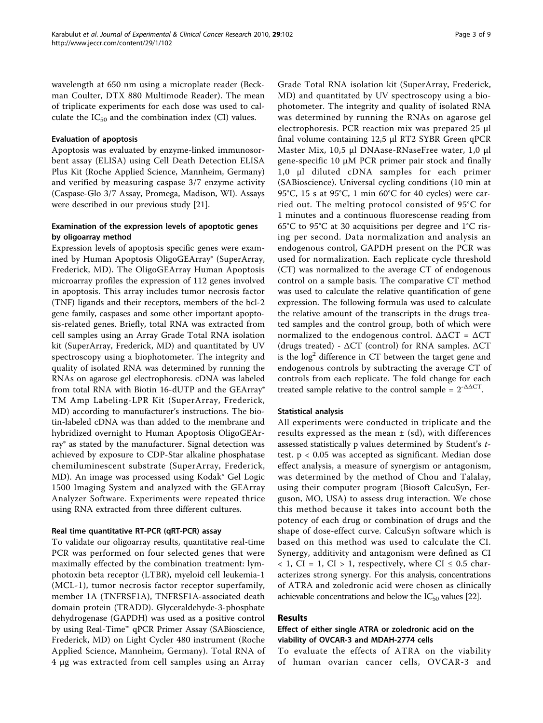wavelength at 650 nm using a microplate reader (Beckman Coulter, DTX 880 Multimode Reader). The mean of triplicate experiments for each dose was used to calculate the  $IC_{50}$  and the combination index (CI) values.

#### Evaluation of apoptosis

Apoptosis was evaluated by enzyme-linked immunosorbent assay (ELISA) using Cell Death Detection ELISA Plus Kit (Roche Applied Science, Mannheim, Germany) and verified by measuring caspase 3/7 enzyme activity (Caspase-Glo 3/7 Assay, Promega, Madison, WI). Assays were described in our previous study [\[21\]](#page-7-0).

# Examination of the expression levels of apoptotic genes by oligoarray method

Expression levels of apoptosis specific genes were examined by Human Apoptosis OligoGEArray® (SuperArray, Frederick, MD). The OligoGEArray Human Apoptosis microarray profiles the expression of 112 genes involved in apoptosis. This array includes tumor necrosis factor (TNF) ligands and their receptors, members of the bcl-2 gene family, caspases and some other important apoptosis-related genes. Briefly, total RNA was extracted from cell samples using an Array Grade Total RNA isolation kit (SuperArray, Frederick, MD) and quantitated by UV spectroscopy using a biophotometer. The integrity and quality of isolated RNA was determined by running the RNAs on agarose gel electrophoresis. cDNA was labeled from total RNA with Biotin 16-dUTP and the GEArray® TM Amp Labeling-LPR Kit (SuperArray, Frederick, MD) according to manufacturer's instructions. The biotin-labeled cDNA was than added to the membrane and hybridized overnight to Human Apoptosis OligoGEArray® as stated by the manufacturer. Signal detection was achieved by exposure to CDP-Star alkaline phosphatase chemiluminescent substrate (SuperArray, Frederick, MD). An image was processed using Kodak® Gel Logic 1500 Imaging System and analyzed with the GEArray Analyzer Software. Experiments were repeated thrice using RNA extracted from three different cultures.

#### Real time quantitative RT-PCR (qRT-PCR) assay

To validate our oligoarray results, quantitative real-time PCR was performed on four selected genes that were maximally effected by the combination treatment: lymphotoxin beta receptor (LTBR), myeloid cell leukemia-1 (MCL-1), tumor necrosis factor receptor superfamily, member 1A (TNFRSF1A), TNFRSF1A-associated death domain protein (TRADD). Glyceraldehyde-3-phosphate dehydrogenase (GAPDH) was used as a positive control by using Real-Time™ qPCR Primer Assay (SABioscience, Frederick, MD) on Light Cycler 480 instrument (Roche Applied Science, Mannheim, Germany). Total RNA of 4 μg was extracted from cell samples using an Array

Grade Total RNA isolation kit (SuperArray, Frederick, MD) and quantitated by UV spectroscopy using a biophotometer. The integrity and quality of isolated RNA was determined by running the RNAs on agarose gel electrophoresis. PCR reaction mix was prepared 25 μl final volume containing 12,5 μl RT2 SYBR Green qPCR Master Mix, 10,5 μl DNAase-RNaseFree water, 1,0 μl gene-specific 10 μM PCR primer pair stock and finally 1,0 μl diluted cDNA samples for each primer (SABioscience). Universal cycling conditions (10 min at 95°C, 15 s at 95°C, 1 min 60°C for 40 cycles) were carried out. The melting protocol consisted of 95°C for 1 minutes and a continuous fluorescense reading from 65°C to 95°C at 30 acquisitions per degree and 1°C rising per second. Data normalization and analysis an endogenous control, GAPDH present on the PCR was used for normalization. Each replicate cycle threshold (CT) was normalized to the average CT of endogenous control on a sample basis. The comparative CT method was used to calculate the relative quantification of gene expression. The following formula was used to calculate the relative amount of the transcripts in the drugs treated samples and the control group, both of which were normalized to the endogenous control.  $ΔΔCT = ΔCT$ (drugs treated) -  $\Delta CT$  (control) for RNA samples.  $\Delta CT$ is the  $log<sup>2</sup>$  difference in CT between the target gene and endogenous controls by subtracting the average CT of controls from each replicate. The fold change for each treated sample relative to the control sample =  $2^{-\Delta\Delta CT}$ .

#### Statistical analysis

All experiments were conducted in triplicate and the results expressed as the mean  $\pm$  (sd), with differences assessed statistically p values determined by Student's ttest. p < 0.05 was accepted as significant. Median dose effect analysis, a measure of synergism or antagonism, was determined by the method of Chou and Talalay, using their computer program (Biosoft CalcuSyn, Ferguson, MO, USA) to assess drug interaction. We chose this method because it takes into account both the potency of each drug or combination of drugs and the shape of dose-effect curve. CalcuSyn software which is based on this method was used to calculate the CI. Synergy, additivity and antagonism were defined as CI  $< 1$ , CI = 1, CI > 1, respectively, where CI  $\leq 0.5$  characterizes strong synergy. For this analysis, concentrations of ATRA and zoledronic acid were chosen as clinically achievable concentrations and below the  $IC_{50}$  values [[22\]](#page-7-0).

#### Results

# Effect of either single ATRA or zoledronic acid on the viability of OVCAR-3 and MDAH-2774 cells

To evaluate the effects of ATRA on the viability of human ovarian cancer cells, OVCAR-3 and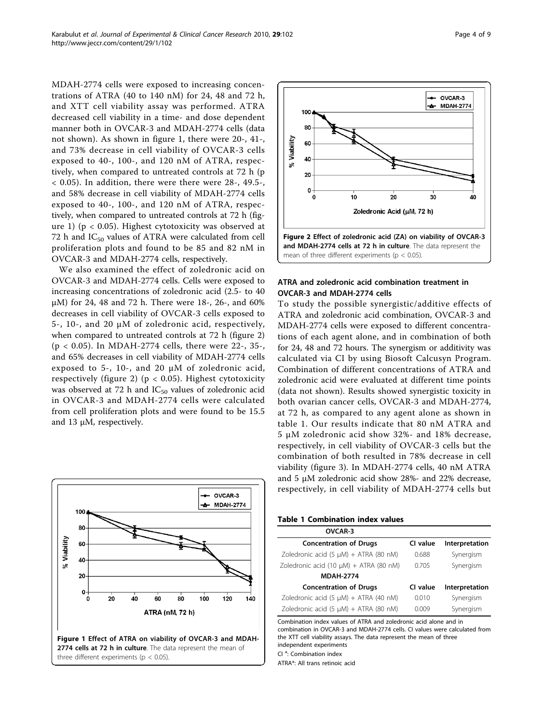<span id="page-3-0"></span>MDAH-2774 cells were exposed to increasing concentrations of ATRA (40 to 140 nM) for 24, 48 and 72 h, and XTT cell viability assay was performed. ATRA decreased cell viability in a time- and dose dependent manner both in OVCAR-3 and MDAH-2774 cells (data not shown). As shown in figure 1, there were 20-, 41-, and 73% decrease in cell viability of OVCAR-3 cells exposed to 40-, 100-, and 120 nM of ATRA, respectively, when compared to untreated controls at 72 h (p  $<$  0.05). In addition, there were there were 28-, 49.5-, and 58% decrease in cell viability of MDAH-2774 cells exposed to 40-, 100-, and 120 nM of ATRA, respectively, when compared to untreated controls at 72 h (figure 1) ( $p < 0.05$ ). Highest cytotoxicity was observed at 72 h and  $IC_{50}$  values of ATRA were calculated from cell proliferation plots and found to be 85 and 82 nM in OVCAR-3 and MDAH-2774 cells, respectively.

We also examined the effect of zoledronic acid on OVCAR-3 and MDAH-2774 cells. Cells were exposed to increasing concentrations of zoledronic acid (2.5- to 40 μM) for 24, 48 and 72 h. There were 18-, 26-, and 60% decreases in cell viability of OVCAR-3 cells exposed to 5-, 10-, and 20 μM of zoledronic acid, respectively, when compared to untreated controls at 72 h (figure 2) (p < 0.05). In MDAH-2774 cells, there were 22-, 35-, and 65% decreases in cell viability of MDAH-2774 cells exposed to 5-, 10-, and 20  $\mu$ M of zoledronic acid, respectively (figure 2) ( $p < 0.05$ ). Highest cytotoxicity was observed at 72 h and  $IC_{50}$  values of zoledronic acid in OVCAR-3 and MDAH-2774 cells were calculated from cell proliferation plots and were found to be 15.5 and 13 μM, respectively.





# ATRA and zoledronic acid combination treatment in OVCAR-3 and MDAH-2774 cells

To study the possible synergistic/additive effects of ATRA and zoledronic acid combination, OVCAR-3 and MDAH-2774 cells were exposed to different concentrations of each agent alone, and in combination of both for 24, 48 and 72 hours. The synergism or additivity was calculated via CI by using Biosoft Calcusyn Program. Combination of different concentrations of ATRA and zoledronic acid were evaluated at different time points (data not shown). Results showed synergistic toxicity in both ovarian cancer cells, OVCAR-3 and MDAH-2774, at 72 h, as compared to any agent alone as shown in table 1. Our results indicate that 80 nM ATRA and 5 μM zoledronic acid show 32%- and 18% decrease, respectively, in cell viability of OVCAR-3 cells but the combination of both resulted in 78% decrease in cell viability (figure [3\)](#page-4-0). In MDAH-2774 cells, 40 nM ATRA and 5 μM zoledronic acid show 28%- and 22% decrease, respectively, in cell viability of MDAH-2774 cells but

#### Table 1 Combination index values

| OVCAR-3                                     |          |                |
|---------------------------------------------|----------|----------------|
| <b>Concentration of Drugs</b>               | CI value | Interpretation |
| Zoledronic acid $(5 \mu M) + ATRA$ (80 nM)  | 0.688    | Synergism      |
| Zoledronic acid (10 $\mu$ M) + ATRA (80 nM) | 0.705    | Synergism      |
| <b>MDAH-2774</b>                            |          |                |
| <b>Concentration of Drugs</b>               | CI value | Interpretation |
| Zoledronic acid $(5 \mu M) + ATRA$ (40 nM)  | 0.010    | Synergism      |
| Zoledronic acid $(5 \mu M) + ATRA$ (80 nM)  | 0.009    | Synergism      |

Combination index values of ATRA and zoledronic acid alone and in combination in OVCAR-3 and MDAH-2774 cells. CI values were calculated from the XTT cell viability assays. The data represent the mean of three independent experiments

Cl<sup>a</sup>: Combination index

ATRA\*: All trans retinoic acid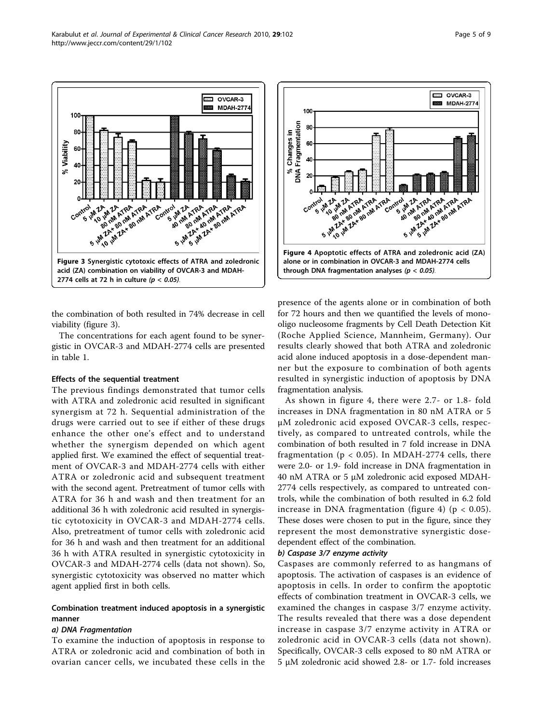<span id="page-4-0"></span>

Figure 3 Synergistic cytotoxic effects of ATRA and zoledronic acid (ZA) combination on viability of OVCAR-3 and MDAH-2774 cells at 72 h in culture ( $p < 0.05$ ).

the combination of both resulted in 74% decrease in cell viability (figure 3).

The concentrations for each agent found to be synergistic in OVCAR-3 and MDAH-2774 cells are presented in table [1.](#page-3-0)

#### Effects of the sequential treatment

The previous findings demonstrated that tumor cells with ATRA and zoledronic acid resulted in significant synergism at 72 h. Sequential administration of the drugs were carried out to see if either of these drugs enhance the other one's effect and to understand whether the synergism depended on which agent applied first. We examined the effect of sequential treatment of OVCAR-3 and MDAH-2774 cells with either ATRA or zoledronic acid and subsequent treatment with the second agent. Pretreatment of tumor cells with ATRA for 36 h and wash and then treatment for an additional 36 h with zoledronic acid resulted in synergistic cytotoxicity in OVCAR-3 and MDAH-2774 cells. Also, pretreatment of tumor cells with zoledronic acid for 36 h and wash and then treatment for an additional 36 h with ATRA resulted in synergistic cytotoxicity in OVCAR-3 and MDAH-2774 cells (data not shown). So, synergistic cytotoxicity was observed no matter which agent applied first in both cells.

## Combination treatment induced apoptosis in a synergistic manner

#### a) DNA Fragmentation

To examine the induction of apoptosis in response to ATRA or zoledronic acid and combination of both in ovarian cancer cells, we incubated these cells in the



presence of the agents alone or in combination of both for 72 hours and then we quantified the levels of monooligo nucleosome fragments by Cell Death Detection Kit (Roche Applied Science, Mannheim, Germany). Our results clearly showed that both ATRA and zoledronic acid alone induced apoptosis in a dose-dependent manner but the exposure to combination of both agents resulted in synergistic induction of apoptosis by DNA fragmentation analysis.

As shown in figure 4, there were 2.7- or 1.8- fold increases in DNA fragmentation in 80 nM ATRA or 5 μM zoledronic acid exposed OVCAR-3 cells, respectively, as compared to untreated controls, while the combination of both resulted in 7 fold increase in DNA fragmentation ( $p < 0.05$ ). In MDAH-2774 cells, there were 2.0- or 1.9- fold increase in DNA fragmentation in 40 nM ATRA or 5 μM zoledronic acid exposed MDAH-2774 cells respectively, as compared to untreated controls, while the combination of both resulted in 6.2 fold increase in DNA fragmentation (figure 4) ( $p < 0.05$ ). These doses were chosen to put in the figure, since they represent the most demonstrative synergistic dosedependent effect of the combination.

#### b) Caspase 3/7 enzyme activity

Caspases are commonly referred to as hangmans of apoptosis. The activation of caspases is an evidence of apoptosis in cells. In order to confirm the apoptotic effects of combination treatment in OVCAR-3 cells, we examined the changes in caspase 3/7 enzyme activity. The results revealed that there was a dose dependent increase in caspase 3/7 enzyme activity in ATRA or zoledronic acid in OVCAR-3 cells (data not shown). Specifically, OVCAR-3 cells exposed to 80 nM ATRA or 5 μM zoledronic acid showed 2.8- or 1.7- fold increases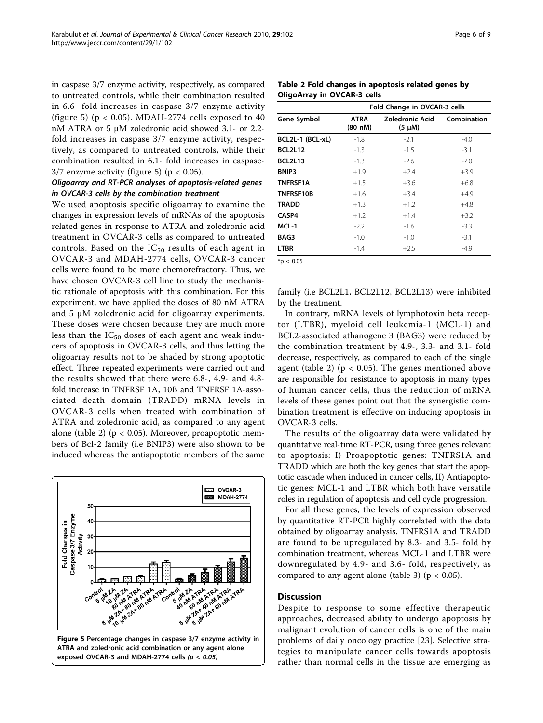in caspase 3/7 enzyme activity, respectively, as compared to untreated controls, while their combination resulted in 6.6- fold increases in caspase-3/7 enzyme activity (figure 5) ( $p < 0.05$ ). MDAH-2774 cells exposed to 40 nM ATRA or 5 μM zoledronic acid showed 3.1- or 2.2 fold increases in caspase 3/7 enzyme activity, respectively, as compared to untreated controls, while their combination resulted in 6.1- fold increases in caspase- $3/7$  enzyme activity (figure 5) ( $p < 0.05$ ).

# Oligoarray and RT-PCR analyses of apoptosis-related genes in OVCAR-3 cells by the combination treatment

We used apoptosis specific oligoarray to examine the changes in expression levels of mRNAs of the apoptosis related genes in response to ATRA and zoledronic acid treatment in OVCAR-3 cells as compared to untreated controls. Based on the  $IC_{50}$  results of each agent in OVCAR-3 and MDAH-2774 cells, OVCAR-3 cancer cells were found to be more chemorefractory. Thus, we have chosen OVCAR-3 cell line to study the mechanistic rationale of apoptosis with this combination. For this experiment, we have applied the doses of 80 nM ATRA and 5  $\mu$ M zoledronic acid for oligoarray experiments. These doses were chosen because they are much more less than the  $IC_{50}$  doses of each agent and weak inducers of apoptosis in OVCAR-3 cells, and thus letting the oligoarray results not to be shaded by strong apoptotic effect. Three repeated experiments were carried out and the results showed that there were 6.8-, 4.9- and 4.8 fold increase in TNFRSF 1A, 10B and TNFRSF 1A-associated death domain (TRADD) mRNA levels in OVCAR-3 cells when treated with combination of ATRA and zoledronic acid, as compared to any agent alone (table 2) ( $p < 0.05$ ). Moreover, proapoptotic members of Bcl-2 family (i.e BNIP3) were also shown to be induced whereas the antiapoptotic members of the same



Table 2 Fold changes in apoptosis related genes by OligoArray in OVCAR-3 cells

|                  | Fold Change in OVCAR-3 cells |                                |             |  |
|------------------|------------------------------|--------------------------------|-------------|--|
| Gene Symbol      | <b>ATRA</b><br>(80 nM)       | Zoledronic Acid<br>$(5 \mu M)$ | Combination |  |
| BCL2L-1 (BCL-xL) | $-1.8$                       | $-2.1$                         | $-4.0$      |  |
| <b>BCL2L12</b>   | $-1.3$                       | $-1.5$                         | $-3.1$      |  |
| <b>BCL2L13</b>   | $-1.3$                       | $-2.6$                         | $-7.0$      |  |
| BNIP3            | $+1.9$                       | $+2.4$                         | $+3.9$      |  |
| <b>TNFRSF1A</b>  | $+1.5$                       | $+3.6$                         | $+6.8$      |  |
| TNFRSF10B        | $+1.6$                       | $+3.4$                         | $+4.9$      |  |
| <b>TRADD</b>     | $+1.3$                       | $+1.2$                         | $+4.8$      |  |
| CASP4            | $+1.2$                       | $+1.4$                         | $+3.2$      |  |
| MCL-1            | $-2.2$                       | $-1.6$                         | $-3.3$      |  |
| BAG3             | $-1.0$                       | $-1.0$                         | $-3.1$      |  |
| <b>LTBR</b>      | $-1.4$                       | $+2.5$                         | $-4.9$      |  |

 $*n < 0.05$ 

family (i.e BCL2L1, BCL2L12, BCL2L13) were inhibited by the treatment.

In contrary, mRNA levels of lymphotoxin beta receptor (LTBR), myeloid cell leukemia-1 (MCL-1) and BCL2-associated athanogene 3 (BAG3) were reduced by the combination treatment by 4.9-, 3.3- and 3.1- fold decrease, respectively, as compared to each of the single agent (table 2) ( $p < 0.05$ ). The genes mentioned above are responsible for resistance to apoptosis in many types of human cancer cells, thus the reduction of mRNA levels of these genes point out that the synergistic combination treatment is effective on inducing apoptosis in OVCAR-3 cells.

The results of the oligoarray data were validated by quantitative real-time RT-PCR, using three genes relevant to apoptosis: I) Proapoptotic genes: TNFRS1A and TRADD which are both the key genes that start the apoptotic cascade when induced in cancer cells, II) Antiapoptotic genes: MCL-1 and LTBR which both have versatile roles in regulation of apoptosis and cell cycle progression.

For all these genes, the levels of expression observed by quantitative RT-PCR highly correlated with the data obtained by oligoarray analysis. TNFRS1A and TRADD are found to be upregulated by 8.3- and 3.5- fold by combination treatment, whereas MCL-1 and LTBR were downregulated by 4.9- and 3.6- fold, respectively, as compared to any agent alone (table [3](#page-6-0)) ( $p < 0.05$ ).

#### Discussion

Despite to response to some effective therapeutic approaches, decreased ability to undergo apoptosis by malignant evolution of cancer cells is one of the main problems of daily oncology practice [\[23](#page-7-0)]. Selective strategies to manipulate cancer cells towards apoptosis rather than normal cells in the tissue are emerging as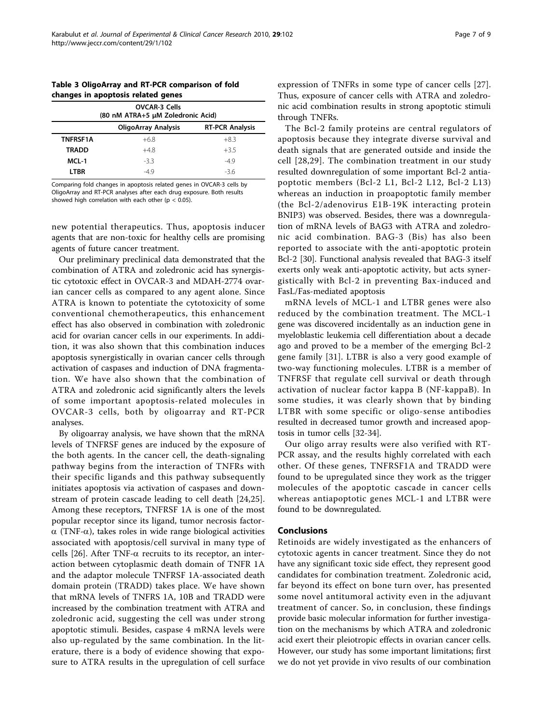<span id="page-6-0"></span>

| Table 3 OligoArray and RT-PCR comparison of fold |  |
|--------------------------------------------------|--|
| changes in apoptosis related genes               |  |

| <b>OVCAR-3 Cells</b><br>(80 nM ATRA+5 µM Zoledronic Acid) |                            |                        |  |  |
|-----------------------------------------------------------|----------------------------|------------------------|--|--|
|                                                           | <b>OligoArray Analysis</b> | <b>RT-PCR Analysis</b> |  |  |
| <b>TNFRSF1A</b>                                           | $+6.8$                     | $+8.3$                 |  |  |
| <b>TRADD</b>                                              | $+48$                      | $+3.5$                 |  |  |
| MCL-1                                                     | $-3.3$                     | $-49$                  |  |  |
| <b>LTBR</b>                                               | $-49$                      | -36                    |  |  |

Comparing fold changes in apoptosis related genes in OVCAR-3 cells by OligoArray and RT-PCR analyses after each drug exposure. Both results showed high correlation with each other ( $p < 0.05$ ).

new potential therapeutics. Thus, apoptosis inducer agents that are non-toxic for healthy cells are promising agents of future cancer treatment.

Our preliminary preclinical data demonstrated that the combination of ATRA and zoledronic acid has synergistic cytotoxic effect in OVCAR-3 and MDAH-2774 ovarian cancer cells as compared to any agent alone. Since ATRA is known to potentiate the cytotoxicity of some conventional chemotherapeutics, this enhancement effect has also observed in combination with zoledronic acid for ovarian cancer cells in our experiments. In addition, it was also shown that this combination induces apoptosis synergistically in ovarian cancer cells through activation of caspases and induction of DNA fragmentation. We have also shown that the combination of ATRA and zoledronic acid significantly alters the levels of some important apoptosis-related molecules in OVCAR-3 cells, both by oligoarray and RT-PCR analyses.

By oligoarray analysis, we have shown that the mRNA levels of TNFRSF genes are induced by the exposure of the both agents. In the cancer cell, the death-signaling pathway begins from the interaction of TNFRs with their specific ligands and this pathway subsequently initiates apoptosis via activation of caspases and downstream of protein cascade leading to cell death [[24,25](#page-8-0)]. Among these receptors, TNFRSF 1A is one of the most popular receptor since its ligand, tumor necrosis factor- $\alpha$  (TNF- $\alpha$ ), takes roles in wide range biological activities associated with apoptosis/cell survival in many type of cells [[26\]](#page-8-0). After TNF- $\alpha$  recruits to its receptor, an interaction between cytoplasmic death domain of TNFR 1A and the adaptor molecule TNFRSF 1A-associated death domain protein (TRADD) takes place. We have shown that mRNA levels of TNFRS 1A, 10B and TRADD were increased by the combination treatment with ATRA and zoledronic acid, suggesting the cell was under strong apoptotic stimuli. Besides, caspase 4 mRNA levels were also up-regulated by the same combination. In the literature, there is a body of evidence showing that exposure to ATRA results in the upregulation of cell surface expression of TNFRs in some type of cancer cells [[27](#page-8-0)]. Thus, exposure of cancer cells with ATRA and zoledronic acid combination results in strong apoptotic stimuli through TNFRs.

The Bcl-2 family proteins are central regulators of apoptosis because they integrate diverse survival and death signals that are generated outside and inside the cell [[28](#page-8-0),[29](#page-8-0)]. The combination treatment in our study resulted downregulation of some important Bcl-2 antiapoptotic members (Bcl-2 L1, Bcl-2 L12, Bcl-2 L13) whereas an induction in proapoptotic family member (the Bcl-2/adenovirus E1B-19K interacting protein BNIP3) was observed. Besides, there was a downregulation of mRNA levels of BAG3 with ATRA and zoledronic acid combination. BAG-3 (Bis) has also been reported to associate with the anti-apoptotic protein Bcl-2 [\[30](#page-8-0)]. Functional analysis revealed that BAG-3 itself exerts only weak anti-apoptotic activity, but acts synergistically with Bcl-2 in preventing Bax-induced and FasL/Fas-mediated apoptosis

mRNA levels of MCL-1 and LTBR genes were also reduced by the combination treatment. The MCL-1 gene was discovered incidentally as an induction gene in myeloblastic leukemia cell differentiation about a decade ago and proved to be a member of the emerging Bcl-2 gene family [[31\]](#page-8-0). LTBR is also a very good example of two-way functioning molecules. LTBR is a member of TNFRSF that regulate cell survival or death through activation of nuclear factor kappa B (NF-kappaB). In some studies, it was clearly shown that by binding LTBR with some specific or oligo-sense antibodies resulted in decreased tumor growth and increased apoptosis in tumor cells [\[32-34](#page-8-0)].

Our oligo array results were also verified with RT-PCR assay, and the results highly correlated with each other. Of these genes, TNFRSF1A and TRADD were found to be upregulated since they work as the trigger molecules of the apoptotic cascade in cancer cells whereas antiapoptotic genes MCL-1 and LTBR were found to be downregulated.

#### Conclusions

Retinoids are widely investigated as the enhancers of cytotoxic agents in cancer treatment. Since they do not have any significant toxic side effect, they represent good candidates for combination treatment. Zoledronic acid, far beyond its effect on bone turn over, has presented some novel antitumoral activity even in the adjuvant treatment of cancer. So, in conclusion, these findings provide basic molecular information for further investigation on the mechanisms by which ATRA and zoledronic acid exert their pleiotropic effects in ovarian cancer cells. However, our study has some important limitations; first we do not yet provide in vivo results of our combination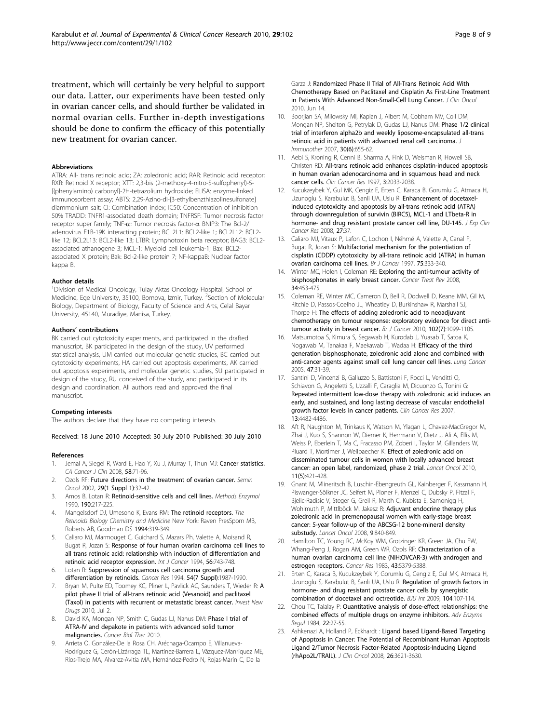<span id="page-7-0"></span>treatment, which will certainly be very helpful to support our data. Latter, our experiments have been tested only in ovarian cancer cells, and should further be validated in normal ovarian cells. Further in-depth investigations should be done to confirm the efficacy of this potentially new treatment for ovarian cancer.

#### **Abbreviations**

ATRA: All- trans retinoic acid; ZA: zoledronic acid; RAR: Retinoic acid receptor; RXR: Retinoid X receptor; XTT: 2,3-bis (2-methoxy-4-nitro-5-sulfophenyl)-5- [(phenylamino) carbonyl]-2H-tetrazolium hydroxide; ELISA: enzyme-linked immunosorbent assay; ABTS: 2,29-Azino-di-[3-ethylbenzthiazolinesulfonate] diammonium salt; CI: Combination index; IC50: Concentration of inhibition 50% TRADD: TNFR1-associated death domain; TNFRSF: Tumor necrosis factor receptor super family; TNF- $\alpha$ : Tumor necrosis factor- $\alpha$  BNIP3: The Bcl-2/ adenovirus E1B-19K interacting protein; BCL2L1: BCL2-like 1; BCL2L12: BCL2 like 12; BCL2L13: BCL2-like 13; LTBR: Lymphotoxin beta receptor; BAG3: BCL2 associated athanogene 3; MCL-1: Myeloid cell leukemia-1; Bax: BCL2 associated X protein; Bak: Bcl-2-like protein 7; NF-kappaB: Nuclear factor kappa B

#### Author details

<sup>1</sup> Division of Medical Oncology, Tulay Aktas Oncology Hospital, School of Medicine, Ege University, 35100, Bornova, Izmir, Turkey. <sup>2</sup>Section of Molecular Biology, Department of Biology, Faculty of Science and Arts, Celal Bayar University, 45140, Muradiye, Manisa, Turkey.

#### Authors' contributions

BK carried out cytotoxicity experiments, and participated in the drafted manuscript, BK participated in the design of the study, UV performed statistical analysis, UM carried out molecular genetic studies, BC carried out cytotoxicity experiments, HA carried out apoptosis experiments, AK carried out apoptosis experiments, and molecular genetic studies, SU participated in design of the study, RU conceived of the study, and participated in its design and coordination. All authors read and approved the final manuscript.

#### Competing interests

The authors declare that they have no competing interests.

Received: 18 June 2010 Accepted: 30 July 2010 Published: 30 July 2010

#### References

- 1. Jemal A, Siegel R, Ward E, Hao Y, Xu J, Murray T, Thun MJ: [Cancer statistics.](http://www.ncbi.nlm.nih.gov/pubmed/18287387?dopt=Abstract) CA Cancer J Clin 2008, 58:71-96.
- Ozols RF: [Future directions in the treatment of ovarian cancer.](http://www.ncbi.nlm.nih.gov/pubmed/11840418?dopt=Abstract) Semin Oncol 2002, 29(1 Suppl 1):32-42.
- Amos B, Lotan R: [Retinoid-sensitive cells and cell lines.](http://www.ncbi.nlm.nih.gov/pubmed/2087173?dopt=Abstract) Methods Enzymol 1990, 190:217-225.
- 4. Mangelsdorf DJ, Umesono K, Evans RM: The retinoid receptors. The Retinoids Biology Chemistry and Medicine New York: Raven PresSporn MB, Roberts AB, Goodman DS 1994:319-349.
- 5. Caliaro MJ, Marmouget C, Guichard S, Mazars Ph, Valette A, Moisand R, Bugat R, Jozan S: [Response of four human ovarian carcinoma cell lines to](http://www.ncbi.nlm.nih.gov/pubmed/8314353?dopt=Abstract) [all trans retinoic acid: relationship with induction of differentiation and](http://www.ncbi.nlm.nih.gov/pubmed/8314353?dopt=Abstract) [retinoic acid receptor expression.](http://www.ncbi.nlm.nih.gov/pubmed/8314353?dopt=Abstract) Int J Cancer 1994, 56:743-748.
- 6. Lotan R: Suppression of squamous cell carcinoma growth and differentiation by retinoids. Cancer Res 1994, 54(7 Suppl):1987-1990.
- 7. Bryan M, Pulte ED, Toomey KC, Pliner L, Pavlick [A](http://www.ncbi.nlm.nih.gov/pubmed/20596747?dopt=Abstract)C, Saunders T, Wieder R: A [pilot phase II trial of all-trans retinoic acid \(Vesanoid\) and paclitaxel](http://www.ncbi.nlm.nih.gov/pubmed/20596747?dopt=Abstract) [\(Taxol\) in patients with recurrent or metastatic breast cancer.](http://www.ncbi.nlm.nih.gov/pubmed/20596747?dopt=Abstract) Invest New Drugs 2010, Jul 2.
- 8. David KA, Mongan NP, Smith C, Gudas LJ, Nanus DM: [Phase I trial of](http://www.ncbi.nlm.nih.gov/pubmed/20200483?dopt=Abstract) [ATRA-IV and depakote in patients with advanced solid tumor](http://www.ncbi.nlm.nih.gov/pubmed/20200483?dopt=Abstract) [malignancies.](http://www.ncbi.nlm.nih.gov/pubmed/20200483?dopt=Abstract) Cancer Biol Ther 2010.
- Arrieta O, González-De la Rosa CH, Aréchaga-Ocampo E, Villanueva-Rodríguez G, Cerón-Lizárraga TL, Martínez-Barrera L, Vázquez-Manríquez ME, Ríos-Trejo MA, Alvarez-Avitia MA, Hernández-Pedro N, Rojas-Marín C, De la

Garza J: [Randomized Phase II Trial of All-Trans Retinoic Acid With](http://www.ncbi.nlm.nih.gov/pubmed/20547984?dopt=Abstract) [Chemotherapy Based on Paclitaxel and Cisplatin As First-Line Treatment](http://www.ncbi.nlm.nih.gov/pubmed/20547984?dopt=Abstract) [in Patients With Advanced Non-Small-Cell Lung Cancer.](http://www.ncbi.nlm.nih.gov/pubmed/20547984?dopt=Abstract) J Clin Oncol 2010, Jun 14.

- 10. Boorjian SA, Milowsky MI, Kaplan J, Albert M, Cobham MV, Coll DM, Mongan NP, Shelton G, Petrylak D, Gudas LJ, Nanus DM: [Phase 1/2 clinical](http://www.ncbi.nlm.nih.gov/pubmed/17667529?dopt=Abstract) [trial of interferon alpha2b and weekly liposome-encapsulated all-trans](http://www.ncbi.nlm.nih.gov/pubmed/17667529?dopt=Abstract) [retinoic acid in patients with advanced renal cell carcinoma.](http://www.ncbi.nlm.nih.gov/pubmed/17667529?dopt=Abstract) J Immunother 2007, 30(6):655-62.
- 11. Aebi S, Kroning R, Cenni B, Sharma A, Fink D, Weisman R, Howell SB, Christen RD: [All-trans retinoic acid enhances cisplatin-induced apoptosis](http://www.ncbi.nlm.nih.gov/pubmed/9815594?dopt=Abstract) [in human ovarian adenocarcinoma and in squamous head and neck](http://www.ncbi.nlm.nih.gov/pubmed/9815594?dopt=Abstract) [cancer cells.](http://www.ncbi.nlm.nih.gov/pubmed/9815594?dopt=Abstract) Clin Cancer Res 1997, 3:2033-2038.
- 12. Kucukzeybek Y, Gul MK, Cengiz E, Erten C, Karaca B, Gorumlu G, Atmaca H, Uzunoglu S, Karabulut B, Sanli UA, Uslu R: [Enhancement of docetaxel](http://www.ncbi.nlm.nih.gov/pubmed/18789152?dopt=Abstract)[induced cytotoxicity and apoptosis by all-trans retinoic acid \(ATRA\)](http://www.ncbi.nlm.nih.gov/pubmed/18789152?dopt=Abstract) [through downregulation of survivin \(BIRC5\), MCL-1 and LTbeta-R in](http://www.ncbi.nlm.nih.gov/pubmed/18789152?dopt=Abstract) [hormone- and drug resistant prostate cancer cell line, DU-145.](http://www.ncbi.nlm.nih.gov/pubmed/18789152?dopt=Abstract) J Exp Clin Cancer Res 2008, 27:37.
- 13. Caliaro MJ, Vitaux P, Lafon C, Lochon I, Néhmé A, Valette A, Canal P, Bugat R, Jozan S: [Multifactorial mechanism for the potentiation of](http://www.ncbi.nlm.nih.gov/pubmed/9020476?dopt=Abstract) [cisplatin \(CDDP\) cytotoxicity by all-trans retinoic acid \(ATRA\) in human](http://www.ncbi.nlm.nih.gov/pubmed/9020476?dopt=Abstract) [ovarian carcinoma cell lines.](http://www.ncbi.nlm.nih.gov/pubmed/9020476?dopt=Abstract) Br J Cancer 1997, 75:333-340.
- 14. Winter MC, Holen I, Coleman RE: [Exploring the anti-tumour activity of](http://www.ncbi.nlm.nih.gov/pubmed/18423992?dopt=Abstract) [bisphosphonates in early breast cancer.](http://www.ncbi.nlm.nih.gov/pubmed/18423992?dopt=Abstract) Cancer Treat Rev 2008, 34:453-475.
- 15. Coleman RE, Winter MC, Cameron D, Bell R, Dodwell D, Keane MM, Gil M, Ritchie D, Passos-Coelho JL, Wheatley D, Burkinshaw R, Marshall SJ, Thorpe H: [The effects of adding zoledronic acid to neoadjuvant](http://www.ncbi.nlm.nih.gov/pubmed/20234364?dopt=Abstract) [chemotherapy on tumour response: exploratory evidence for direct anti](http://www.ncbi.nlm.nih.gov/pubmed/20234364?dopt=Abstract)[tumour activity in breast cancer.](http://www.ncbi.nlm.nih.gov/pubmed/20234364?dopt=Abstract) Br J Cancer 2010, 102(7):1099-1105.
- 16. Matsumotoa S, Kimura S, Segawab H, Kurodab J, Yuasab T, Satoa K, Nogawab M, Tanakaa F, Maekawab T, Wadaa H: [Efficacy of the third](http://www.ncbi.nlm.nih.gov/pubmed/15603852?dopt=Abstract) [generation bisphosphonate, zoledronic acid alone and combined with](http://www.ncbi.nlm.nih.gov/pubmed/15603852?dopt=Abstract) [anti-cancer agents against small cell lung cancer cell lines.](http://www.ncbi.nlm.nih.gov/pubmed/15603852?dopt=Abstract) Lung Cancer 2005, 47:31-39.
- 17. Santini D, Vincenzi B, Galluzzo S, Battistoni F, Rocci L, Venditti O, Schiavon G, Angeletti S, Uzzalli F, Caraglia M, Dicuonzo G, Tonini G: [Repeated intermittent low-dose therapy with zoledronic acid induces an](http://www.ncbi.nlm.nih.gov/pubmed/17671133?dopt=Abstract) [early, and sustained, and long lasting decrease of vascular endothelial](http://www.ncbi.nlm.nih.gov/pubmed/17671133?dopt=Abstract) [growth factor levels in cancer patients.](http://www.ncbi.nlm.nih.gov/pubmed/17671133?dopt=Abstract) Clin Cancer Res 2007, 13:4482-4486.
- 18. Aft R, Naughton M, Trinkaus K, Watson M, Ylagan L, Chavez-MacGregor M, Zhai J, Kuo S, Shannon W, Diemer K, Herrmann V, Dietz J, Ali A, Ellis M, Weiss P, Eberlein T, Ma C, Fracasso PM, Zoberi I, Taylor M, Gillanders W, Pluard T, Mortimer J, Weilbaecher K: [Effect of zoledronic acid on](http://www.ncbi.nlm.nih.gov/pubmed/20362507?dopt=Abstract) [disseminated tumour cells in women with locally advanced breast](http://www.ncbi.nlm.nih.gov/pubmed/20362507?dopt=Abstract) [cancer: an open label, randomized, phase 2 trial.](http://www.ncbi.nlm.nih.gov/pubmed/20362507?dopt=Abstract) Lancet Oncol 2010, 11(5):421-428.
- 19. Gnant M, Mlineritsch B, Luschin-Ebengreuth GL, Kainberger F, Kassmann H, Piswanger-Sölkner JC, Seifert M, Ploner F, Menzel C, Dubsky P, Fitzal F, Bjelic-Radisic V, Steger G, Greil R, Marth C, Kubista E, Samonigg H, Wohlmuth P, Mittlböck M, Jakesz R: [Adjuvant endocrine therapy plus](http://www.ncbi.nlm.nih.gov/pubmed/18718815?dopt=Abstract) [zoledronic acid in premenopausal women with early-stage breast](http://www.ncbi.nlm.nih.gov/pubmed/18718815?dopt=Abstract) [cancer: 5-year follow-up of the ABCSG-12 bone-mineral density](http://www.ncbi.nlm.nih.gov/pubmed/18718815?dopt=Abstract) [substudy.](http://www.ncbi.nlm.nih.gov/pubmed/18718815?dopt=Abstract) Lancet Oncol 2008, 9:840-849.
- 20. Hamilton TC, Young RC, McKoy WM, Grotzinger KR, Green JA, Chu EW, Whang-Peng J, Rogan AM, Green WR, Ozols RF: [Characterization of a](http://www.ncbi.nlm.nih.gov/pubmed/6604576?dopt=Abstract) [human ovarian carcinoma cell line \(NIH:OVCAR-3\) with androgen and](http://www.ncbi.nlm.nih.gov/pubmed/6604576?dopt=Abstract) [estrogen receptors.](http://www.ncbi.nlm.nih.gov/pubmed/6604576?dopt=Abstract) Cancer Res 1983, 43:5379-5388.
- 21. Erten C, Karaca B, Kucukzeybek Y, Gorumlu G, Cengiz E, Gul MK, Atmaca H, Uzunoglu S, Karabulut B, Sanli UA, Uslu R: [Regulation of growth factors in](http://www.ncbi.nlm.nih.gov/pubmed/19191785?dopt=Abstract) [hormone- and drug resistant prostate cancer cells by synergistic](http://www.ncbi.nlm.nih.gov/pubmed/19191785?dopt=Abstract) [combination of docetaxel and octreotide.](http://www.ncbi.nlm.nih.gov/pubmed/19191785?dopt=Abstract) BJU Int 2009, 104:107-114.
- 22. Chou TC, Talalay P: [Quantitative analysis of dose-effect relationships: the](http://www.ncbi.nlm.nih.gov/pubmed/6382953?dopt=Abstract) [combined effects of multiple drugs on enzyme inhibitors.](http://www.ncbi.nlm.nih.gov/pubmed/6382953?dopt=Abstract) Adv Enzyme Regul 1984, 22:27-55.
- 23. Ashkenazi A, Holland P, Eckhardt : [Ligand based Ligand-Based Targeting](http://www.ncbi.nlm.nih.gov/pubmed/18640940?dopt=Abstract) [of Apoptosis in Cancer: The Potential of Recombinant Human Apoptosis](http://www.ncbi.nlm.nih.gov/pubmed/18640940?dopt=Abstract) [Ligand 2/Tumor Necrosis Factor-Related Apoptosis-Inducing Ligand](http://www.ncbi.nlm.nih.gov/pubmed/18640940?dopt=Abstract) [\(rhApo2L/TRAIL\).](http://www.ncbi.nlm.nih.gov/pubmed/18640940?dopt=Abstract) J Clin Oncol 2008, 26:3621-3630.